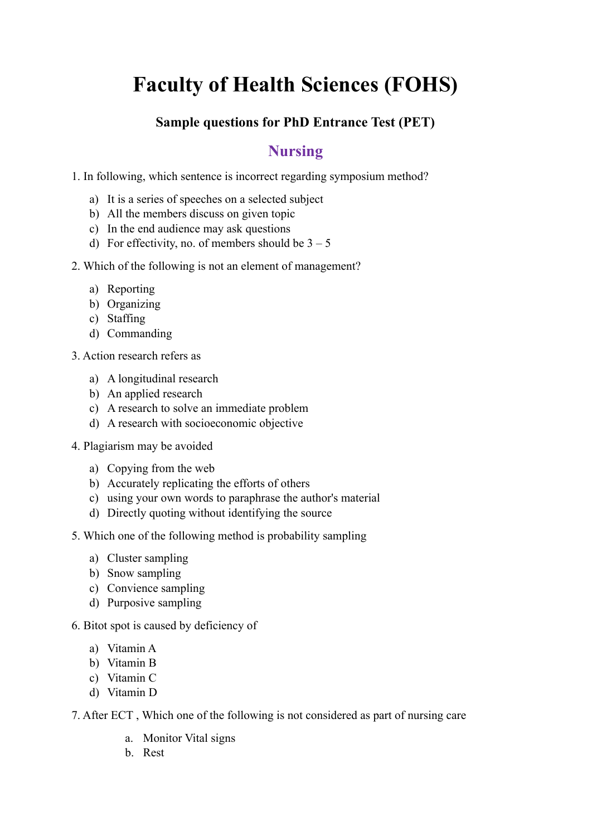## **Faculty of Health Sciences (FOHS)**

## **Sample questions for PhD Entrance Test (PET)**

## **Nursing**

1. In following, which sentence is incorrect regarding symposium method?

- a) It is a series of speeches on a selected subject
- b) All the members discuss on given topic
- c) In the end audience may ask questions
- d) For effectivity, no. of members should be  $3 5$
- 2. Which of the following is not an element of management?
	- a) Reporting
	- b) Organizing
	- c) Staffing
	- d) Commanding
- 3. Action research refers as
	- a) A longitudinal research
	- b) An applied research
	- c) A research to solve an immediate problem
	- d) A research with socioeconomic objective
- 4. Plagiarism may be avoided
	- a) Copying from the web
	- b) Accurately replicating the efforts of others
	- c) using your own words to paraphrase the author's material
	- d) Directly quoting without identifying the source
- 5. Which one of the following method is probability sampling
	- a) Cluster sampling
	- b) Snow sampling
	- c) Convience sampling
	- d) Purposive sampling
- 6. Bitot spot is caused by deficiency of
	- a) Vitamin A
	- b) Vitamin B
	- c) Vitamin C
	- d) Vitamin D
- 7. After ECT , Which one of the following is not considered as part of nursing care
	- a. Monitor Vital signs
	- b. Rest